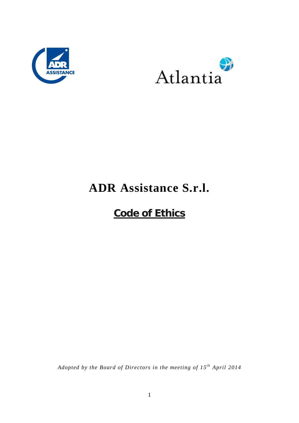



# **ADR Assistance S.r.l.**

## **Code of Ethics**

*Adopted by the Board of Directors in the meeting of 15 t h April 2014*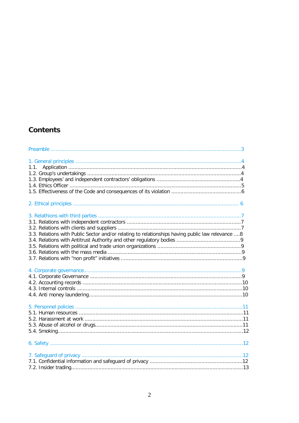## **Contents**

| 1.1.                                                                                             |
|--------------------------------------------------------------------------------------------------|
|                                                                                                  |
| 3.3. Relations with Public Sector and/or relating to relationships having public law relevance 8 |
|                                                                                                  |
|                                                                                                  |
|                                                                                                  |
|                                                                                                  |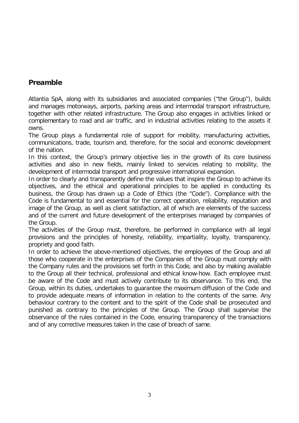### **Preamble**

Atlantia SpA, along with its subsidiaries and associated companies ("the Group"), builds and manages motorways, airports, parking areas and intermodal transport infrastructure, together with other related infrastructure. The Group also engages in activities linked or complementary to road and air traffic, and in industrial activities relating to the assets it owns.

The Group plays a fundamental role of support for mobility, manufacturing activities, communications, trade, tourism and, therefore, for the social and economic development of the nation.

In this context, the Group's primary objective lies in the growth of its core business activities and also in new fields, mainly linked to services relating to mobility, the development of intermodal transport and progressive international expansion.

In order to clearly and transparently define the values that inspire the Group to achieve its objectives, and the ethical and operational principles to be applied in conducting its business, the Group has drawn up a Code of Ethics (the "Code"). Compliance with the Code is fundamental to and essential for the correct operation, reliability, reputation and image of the Group, as well as client satisfaction, all of which are elements of the success and of the current and future development of the enterprises managed by companies of the Group.

The activities of the Group must, therefore, be performed in compliance with all legal provisions and the principles of honesty, reliability, impartiality, loyalty, transparency, propriety and good faith.

In order to achieve the above-mentioned objectives, the employees of the Group and all those who cooperate in the enterprises of the Companies of the Group must comply with the Company rules and the provisions set forth in this Code, and also by making available to the Group all their technical, professional and ethical know-how. Each employee must be aware of the Code and must actively contribute to its observance. To this end, the Group, within its duties, undertakes to guarantee the maximum diffusion of the Code and to provide adequate means of information in relation to the contents of the same. Any behaviour contrary to the content and to the spirit of the Code shall be prosecuted and punished as contrary to the principles of the Group. The Group shall supervise the observance of the rules contained in the Code, ensuring transparency of the transactions and of any corrective measures taken in the case of breach of same.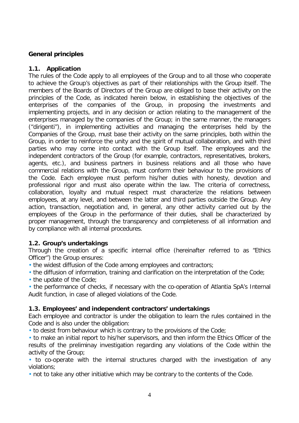#### **General principles**

#### **1.1. Application**

The rules of the Code apply to all employees of the Group and to all those who cooperate to achieve the Group's objectives as part of their relationships with the Group itself. The members of the Boards of Directors of the Group are obliged to base their activity on the principles of the Code, as indicated herein below, in establishing the objectives of the enterprises of the companies of the Group, in proposing the investments and implementing projects, and in any decision or action relating to the management of the enterprises managed by the companies of the Group; in the same manner, the managers ("dirigenti"), in implementing activities and managing the enterprises held by the Companies of the Group, must base their activity on the same principles, both within the Group, in order to reinforce the unity and the spirit of mutual collaboration, and with third parties who may come into contact with the Group itself. The employees and the independent contractors of the Group (for example, contractors, representatives, brokers, agents, etc.), and business partners in business relations and all those who have commercial relations with the Group, must conform their behaviour to the provisions of the Code. Each employee must perform his/her duties with honesty, devotion and professional rigor and must also operate within the law. The criteria of correctness, collaboration, loyalty and mutual respect must characterize the relations between employees, at any level, and between the latter and third parties outside the Group. Any action, transaction, negotiation and, in general, any other activity carried out by the employees of the Group in the performance of their duties, shall be characterized by proper management, through the transparency and completeness of all information and by compliance with all internal procedures.

#### **1.2. Group's undertakings**

Through the creation of a specific internal office (hereinafter referred to as "Ethics Officer") the Group ensures:

• the widest diffusion of the Code among employees and contractors;

• the diffusion of information, training and clarification on the interpretation of the Code;

• the update of the Code;

• the performance of checks, if necessary with the co-operation of Atlantia SpA's Internal Audit function, in case of alleged violations of the Code.

#### **1.3. Employees' and independent contractors' undertakings**

Each employee and contractor is under the obligation to learn the rules contained in the Code and is also under the obligation:

• to desist from behaviour which is contrary to the provisions of the Code;

• to make an initial report to his/her supervisors, and then inform the Ethics Officer of the results of the preliminay investigation regarding any violations of the Code within the activity of the Group;

• to co-operate with the internal structures charged with the investigation of any violations;

• not to take any other initiative which may be contrary to the contents of the Code.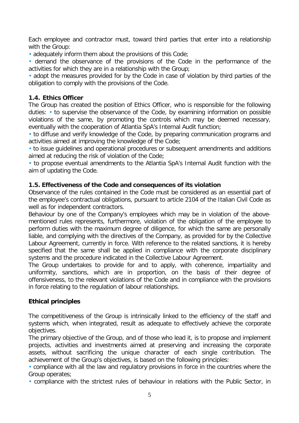Each employee and contractor must, toward third parties that enter into a relationship with the Group:

• adequately inform them about the provisions of this Code;

• demand the observance of the provisions of the Code in the performance of the activities for which they are in a relationship with the Group;

• adopt the measures provided for by the Code in case of violation by third parties of the obligation to comply with the provisions of the Code.

#### **1.4. Ethics Officer**

The Group has created the position of Ethics Officer, who is responsible for the following duties: • to supervise the observance of the Code, by examining information on possible violations of the same, by promoting the controls which may be deemed necessary, eventually with the cooperation of Atlantia SpA's Internal Audit function;

• to diffuse and verify knowledge of the Code, by preparing communication programs and activities aimed at improving the knowledge of the Code;

• to issue guidelines and operational procedures or subsequent amendments and additions aimed at reducing the risk of violation of the Code;

• to propose eventual amendments to the Atlantia SpA's Internal Audit function with the aim of updating the Code.

#### **1.5. Effectiveness of the Code and consequences of its violation**

Observance of the rules contained in the Code must be considered as an essential part of the employee's contractual obligations, pursuant to article 2104 of the Italian Civil Code as well as for independent contractors.

Behaviour by one of the Company's employees which may be in violation of the abovementioned rules represents, furthermore, violation of the obligation of the employee to perform duties with the maximum degree of diligence, for which the same are personally liable, and complying with the directives of the Company, as provided for by the Collective Labour Agreement, currently in force. With reference to the related sanctions, it is hereby specified that the same shall be applied in compliance with the corporate disciplinary systems and the procedure indicated in the Collective Labour Agreement.

The Group undertakes to provide for and to apply, with coherence, impartiality and uniformity, sanctions, which are in proportion, on the basis of their degree of offensiveness, to the relevant violations of the Code and in compliance with the provisions in force relating to the regulation of labour relationships.

#### **Ethical principles**

The competitiveness of the Group is intrinsically linked to the efficiency of the staff and systems which, when integrated, result as adequate to effectively achieve the corporate objectives.

The primary objective of the Group, and of those who lead it, is to propose and implement projects, activities and investments aimed at preserving and increasing the corporate assets, without sacrificing the unique character of each single contribution. The achievement of the Group's objectives, is based on the following principles:

• compliance with all the law and regulatory provisions in force in the countries where the Group operates;

• compliance with the strictest rules of behaviour in relations with the Public Sector, in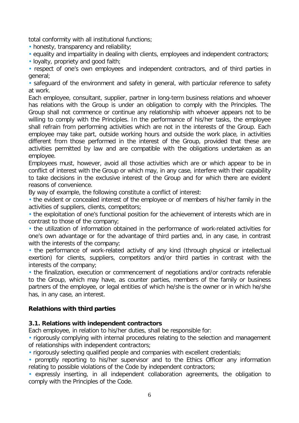total conformity with all institutional functions;

• honesty, transparency and reliability;

• equality and impartiality in dealing with clients, employees and independent contractors;

• loyalty, propriety and good faith;

• respect of one's own employees and independent contractors, and of third parties in general;

• safeguard of the environment and safety in general, with particular reference to safety at work.

Each employee, consultant, supplier, partner in long-term business relations and whoever has relations with the Group is under an obligation to comply with the Principles. The Group shall not commence or continue any relationship with whoever appears not to be willing to comply with the Principles. In the performance of his/her tasks, the employee shall refrain from performing activities which are not in the interests of the Group. Each employee may take part, outside working hours and outside the work place, in activities different from those performed in the interest of the Group, provided that these are activities permitted by law and are compatible with the obligations undertaken as an employee.

Employees must, however, avoid all those activities which are or which appear to be in conflict of interest with the Group or which may, in any case, interfere with their capability to take decisions in the exclusive interest of the Group and for which there are evident reasons of convenience.

By way of example, the following constitute a conflict of interest:

• the evident or concealed interest of the employee or of members of his/her family in the activities of suppliers, clients, competitors;

• the exploitation of one's functional position for the achievement of interests which are in contrast to those of the company;

• the utilization of information obtained in the performance of work-related activities for one's own advantage or for the advantage of third parties and, in any case, in contrast with the interests of the company;

• the performance of work-related activity of any kind (through physical or intellectual exertion) for clients, suppliers, competitors and/or third parties in contrast with the interests of the company;

• the finalization, execution or commencement of negotiations and/or contracts referable to the Group, which may have, as counter parties, members of the family or business partners of the employee, or legal entities of which he/she is the owner or in which he/she has, in any case, an interest.

#### **Relathions with third parties**

#### **3.1. Relations with independent contractors**

Each employee, in relation to his/her duties, shall be responsible for:

• rigorously complying with internal procedures relating to the selection and management of relationships with independent contractors;

• rigorously selecting qualified people and companies with excellent credentials;

• promptly reporting to his/her supervisor and to the Ethics Officer any information relating to possible violations of the Code by independent contractors;

• expressly inserting, in all independent collaboration agreements, the obligation to comply with the Principles of the Code.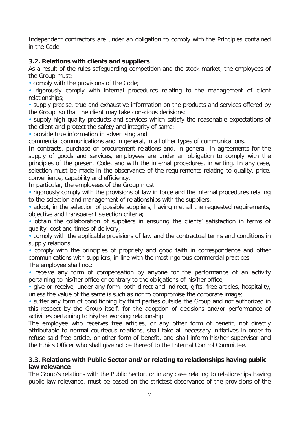Independent contractors are under an obligation to comply with the Principles contained in the Code.

#### **3.2. Relations with clients and suppliers**

As a result of the rules safeguarding competition and the stock market, the employees of the Group must:

• comply with the provisions of the Code;

• rigorously comply with internal procedures relating to the management of client relationships;

• supply precise, true and exhaustive information on the products and services offered by the Group, so that the client may take conscious decisions;

• supply high quality products and services which satisfy the reasonable expectations of the client and protect the safety and integrity of same;

• provide true information in advertising and

commercial communications and in general, in all other types of communications.

In contracts, purchase or procurement relations and, in general, in agreements for the supply of goods and services, employees are under an obligation to comply with the principles of the present Code, and with the internal procedures, in writing. In any case, selection must be made in the observance of the requirements relating to quality, price, convenience, capability and efficiency.

In particular, the employees of the Group must:

• rigorously comply with the provisions of law in force and the internal procedures relating to the selection and management of relationships with the suppliers;

• adopt, in the selection of possible suppliers, having met all the requested requirements, objective and transparent selection criteria;

• obtain the collaboration of suppliers in ensuring the clients' satisfaction in terms of quality, cost and times of delivery;

• comply with the applicable provisions of law and the contractual terms and conditions in supply relations;

• comply with the principles of propriety and good faith in correspondence and other communications with suppliers, in line with the most rigorous commercial practices. The employee shall not:

• receive any form of compensation by anyone for the performance of an activity pertaining to his/her office or contrary to the obligations of his/her office;

• give or receive, under any form, both direct and indirect, gifts, free articles, hospitality, unless the value of the same is such as not to compromise the corporate image;

• suffer any form of conditioning by third parties outside the Group and not authorized in this respect by the Group itself, for the adoption of decisions and/or performance of activities pertaining to his/her working relationship.

The employee who receives free articles, or any other form of benefit, not directly attributable to normal courteous relations, shall take all necessary initiatives in order to refuse said free article, or other form of benefit, and shall inform his/her supervisor and the Ethics Officer who shall give notice thereof to the Internal Control Committee.

#### **3.3. Relations with Public Sector and/or relating to relationships having public law relevance**

The Group's relations with the Public Sector, or in any case relating to relationships having public law relevance, must be based on the strictest observance of the provisions of the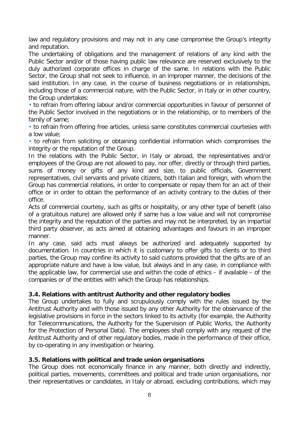law and regulatory provisions and may not in any case compromise the Group's integrity and reputation.

The undertaking of obligations and the management of relations of any kind with the Public Sector and/or of those having public law relevance are reserved exclusively to the duly authorized corporate offices in charge of the same. In relations with the Public Sector, the Group shall not seek to influence, in an improper manner, the decisions of the said institution. In any case, in the course of business negotiations or in relationships, including those of a commercial nature, with the Public Sector, in Italy or in other country, the Group undertakes:

• to refrain from offering labour and/or commercial opportunities in favour of personnel of the Public Sector involved in the negotiations or in the relationship, or to members of the family of same;

• to refrain from offering free articles, unless same constitutes commercial courtesies with a low value;

• to refrain from soliciting or obtaining confidential information which compromises the integrity or the reputation of the Group.

In the relations with the Public Sector, in Italy or abroad, the representatives and/or employees of the Group are not allowed to pay, nor offer, directly or through third parties, sums of money or gifts of any kind and size, to public officials, Government representatives, civil servants and private citizens, both Italian and foreign, with whom the Group has commercial relations, in order to compensate or repay them for an act of their office or in order to obtain the performance of an activity contrary to the duties of their office.

Acts of commercial courtesy, such as gifts or hospitality, or any other type of benefit (also of a gratuitous nature) are allowed only if same has a low value and will not compromise the integrity and the reputation of the parties and may not be interpreted, by an impartial third party observer, as acts aimed at obtaining advantages and favours in an improper manner.

In any case, said acts must always be authorized and adequately supported by documentation. In countries in which it is customary to offer gifts to clients or to third parties, the Group may confine its activity to said customs provided that the gifts are of an appropriate nature and have a low value, but always and in any case, in compliance with the applicable law, for commercial use and within the code of ethics – if available – of the companies or of the entities with which the Group has relationships.

#### **3.4. Relations with antitrust Authority and other regulatory bodies**

The Group undertakes to fully and scrupulously comply with the rules issued by the Antitrust Authority and with those issued by any other Authority for the observance of the legislative provisions in force in the sectors linked to its activity (for example, the Authority for Telecommunications, the Authority for the Supervision of Public Works, the Authority for the Protection of Personal Data). The employees shall comply with any request of the Antitrust Authority and of other regulatory bodies, made in the performance of their office, by co-operating in any investigation or hearing.

#### **3.5. Relations with political and trade union organisations**

The Group does not economically finance in any manner, both directly and indirectly, political parties, movements, committees and political and trade union organisations, nor their representatives or candidates, in Italy or abroad, excluding contributions, which may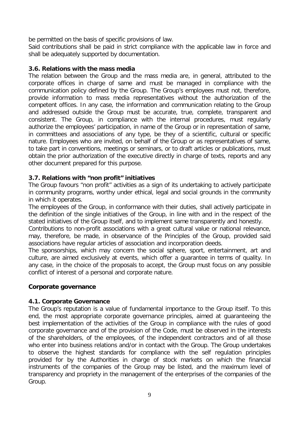be permitted on the basis of specific provisions of law.

Said contributions shall be paid in strict compliance with the applicable law in force and shall be adequately supported by documentation.

#### **3.6. Relations with the mass media**

The relation between the Group and the mass media are, in general, attributed to the corporate offices in charge of same and must be managed in compliance with the communication policy defined by the Group. The Group's employees must not, therefore, provide information to mass media representatives without the authorization of the competent offices. In any case, the information and communication relating to the Group and addressed outside the Group must be accurate, true, complete, transparent and consistent. The Group, in compliance with the internal procedures, must regularly authorize the employees' participation, in name of the Group or in representation of same, in committees and associations of any type, be they of a scientific, cultural or specific nature. Employees who are invited, on behalf of the Group or as representatives of same, to take part in conventions, meetings or seminars, or to draft articles or publications, must obtain the prior authorization of the executive directly in charge of texts, reports and any other document prepared for this purpose.

#### **3.7. Relations with "non profit" initiatives**

The Group favours "non profit" activities as a sign of its undertaking to actively participate in community programs, worthy under ethical, legal and social grounds in the community in which it operates.

The employees of the Group, in conformance with their duties, shall actively participate in the definition of the single initiatives of the Group, in line with and in the respect of the stated initiatives of the Group itself, and to implement same transparently and honestly.

Contributions to non-profit associations with a great cultural value or national relevance, may, therefore, be made, in observance of the Principles of the Group, provided said associations have regular articles of association and incorporation deeds.

The sponsorships, which may concern the social sphere, sport, entertainment, art and culture, are aimed exclusively at events, which offer a guarantee in terms of quality. In any case, in the choice of the proposals to accept, the Group must focus on any possible conflict of interest of a personal and corporate nature.

#### **Corporate governance**

#### **4.1. Corporate Governance**

The Group's reputation is a value of fundamental importance to the Group itself. To this end, the most appropriate corporate governance principles, aimed at guaranteeing the best implementation of the activities of the Group in compliance with the rules of good corporate governance and of the provision of the Code, must be observed in the interests of the shareholders, of the employees, of the independent contractors and of all those who enter into business relations and/or in contact with the Group. The Group undertakes to observe the highest standards for compliance with the self regulation principles provided for by the Authorities in charge of stock markets on which the financial instruments of the companies of the Group may be listed, and the maximum level of transparency and propriety in the management of the enterprises of the companies of the Group.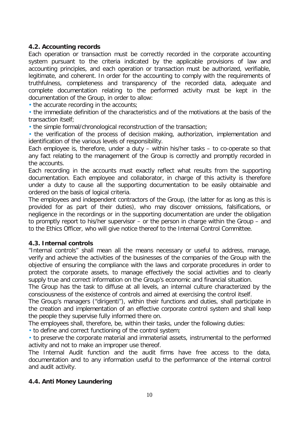#### **4.2. Accounting records**

Each operation or transaction must be correctly recorded in the corporate accounting system pursuant to the criteria indicated by the applicable provisions of law and accounting principles, and each operation or transaction must be authorized, verifiable, legitimate, and coherent. In order for the accounting to comply with the requirements of truthfulness, completeness and transparency of the recorded data, adequate and complete documentation relating to the performed activity must be kept in the documentation of the Group, in order to allow:

• the accurate recording in the accounts;

• the immediate definition of the characteristics and of the motivations at the basis of the transaction itself;

• the simple formal/chronological reconstruction of the transaction;

• the verification of the process of decision making, authorization, implementation and identification of the various levels of responsibility.

Each employee is, therefore, under a duty – within his/her tasks – to co-operate so that any fact relating to the management of the Group is correctly and promptly recorded in the accounts.

Each recording in the accounts must exactly reflect what results from the supporting documentation. Each employee and collaborator, in charge of this activity is therefore under a duty to cause all the supporting documentation to be easily obtainable and ordered on the basis of logical criteria.

The employees and independent contractors of the Group, (the latter for as long as this is provided for as part of their duties), who may discover omissions, falsifications, or negligence in the recordings or in the supporting documentation are under the obligation to promptly report to his/her supervisor – or the person in charge within the Group – and to the Ethics Officer, who will give notice thereof to the Internal Control Committee.

#### **4.3. Internal controls**

"Internal controls" shall mean all the means necessary or useful to address, manage, verify and achieve the activities of the businesses of the companies of the Group with the objective of ensuring the compliance with the laws and corporate procedures in order to protect the corporate assets, to manage effectively the social activities and to clearly supply true and correct information on the Group's economic and financial situation.

The Group has the task to diffuse at all levels, an internal culture characterized by the consciousness of the existence of controls and aimed at exercising the control itself.

The Group's managers ("dirigenti"), within their functions and duties, shall participate in the creation and implementation of an effective corporate control system and shall keep the people they supervise fully informed there on.

The employees shall, therefore, be, within their tasks, under the following duties:

• to define and correct functioning of the control system;

• to preserve the corporate material and immaterial assets, instrumental to the performed activity and not to make an improper use thereof.

The Internal Audit function and the audit firms have free access to the data, documentation and to any information useful to the performance of the internal control and audit activity.

#### **4.4. Anti Money Laundering**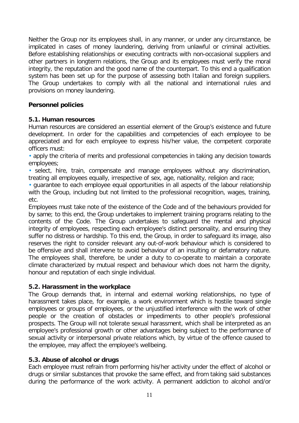Neither the Group nor its employees shall, in any manner, or under any circumstance, be implicated in cases of money laundering, deriving from unlawful or criminal activities. Before establishing relationships or executing contracts with non-occasional suppliers and other partners in longterm relations, the Group and its employees must verify the moral integrity, the reputation and the good name of the counterpart. To this end a qualification system has been set up for the purpose of assessing both Italian and foreign suppliers. The Group undertakes to comply with all the national and international rules and provisions on money laundering.

#### **Personnel policies**

#### **5.1. Human resources**

Human resources are considered an essential element of the Group's existence and future development. In order for the capabilities and competencies of each employee to be appreciated and for each employee to express his/her value, the competent corporate officers must:

• apply the criteria of merits and professional competencies in taking any decision towards employees;

• select, hire, train, compensate and manage employees without any discrimination, treating all employees equally, irrespective of sex, age, nationality, religion and race;

• guarantee to each employee equal opportunities in all aspects of the labour relationship with the Group, including but not limited to the professional recognition, wages, training, etc.

Employees must take note of the existence of the Code and of the behaviours provided for by same; to this end, the Group undertakes to implement training programs relating to the contents of the Code. The Group undertakes to safeguard the mental and physical integrity of employees, respecting each employee's distinct personality, and ensuring they suffer no distress or hardship. To this end, the Group, in order to safeguard its image, also reserves the right to consider relevant any out-of-work behaviour which is considered to be offensive and shall intervene to avoid behaviour of an insulting or defamatory nature. The employees shall, therefore, be under a duty to co-operate to maintain a corporate climate characterized by mutual respect and behaviour which does not harm the dignity, honour and reputation of each single individual.

#### **5.2. Harassment in the workplace**

The Group demands that, in internal and external working relationships, no type of harassment takes place, for example, a work environment which is hostile toward single employees or groups of employees, or the unjustified interference with the work of other people or the creation of obstacles or impediments to other people's professional prospects. The Group will not tolerate sexual harassment, which shall be interpreted as an employee's professional growth or other advantages being subject to the performance of sexual activity or interpersonal private relations which, by virtue of the offence caused to the employee, may affect the employee's wellbeing.

#### **5.3. Abuse of alcohol or drugs**

Each employee must refrain from performing his/her activity under the effect of alcohol or drugs or similar substances that provoke the same effect, and from taking said substances during the performance of the work activity. A permanent addiction to alcohol and/or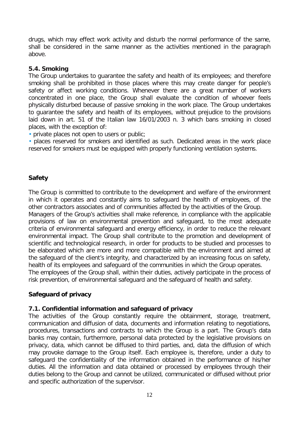drugs, which may effect work activity and disturb the normal performance of the same, shall be considered in the same manner as the activities mentioned in the paragraph above.

#### **5.4. Smoking**

The Group undertakes to guarantee the safety and health of its employees; and therefore smoking shall be prohibited in those places where this may create danger for people's safety or affect working conditions. Whenever there are a great number of workers concentrated in one place, the Group shall evaluate the condition of whoever feels physically disturbed because of passive smoking in the work place. The Group undertakes to guarantee the safety and health of its employees, without prejudice to the provisions laid down in art. 51 of the Italian law 16/01/2003 n. 3 which bans smoking in closed places, with the exception of:

• private places not open to users or public;

• places reserved for smokers and identified as such. Dedicated areas in the work place reserved for smokers must be equipped with properly functioning ventilation systems.

#### **Safety**

The Group is committed to contribute to the development and welfare of the environment in which it operates and constantly aims to safeguard the health of employees, of the other contractors associates and of communities affected by the activities of the Group. Managers of the Group's activities shall make reference, in compliance with the applicable provisions of law on environmental prevention and safeguard, to the most adequate criteria of environmental safeguard and energy efficiency, in order to reduce the relevant environmental impact. The Group shall contribute to the promotion and development of scientific and technological research, in order for products to be studied and processes to be elaborated which are more and more compatible with the environment and aimed at the safeguard of the client's integrity, and characterized by an increasing focus on safety, health of its employees and safeguard of the communities in which the Group operates. The employees of the Group shall, within their duties, actively participate in the process of risk prevention, of environmental safeguard and the safeguard of health and safety.

#### **Safeguard of privacy**

#### **7.1. Confidential information and safeguard of privacy**

The activities of the Group constantly require the obtainment, storage, treatment, communication and diffusion of data, documents and information relating to negotiations, procedures, transactions and contracts to which the Group is a part. The Group's data banks may contain, furthermore, personal data protected by the legislative provisions on privacy, data, which cannot be diffused to third parties, and, data the diffusion of which may provoke damage to the Group itself. Each employee is, therefore, under a duty to safeguard the confidentiality of the information obtained in the performance of his/her duties. All the information and data obtained or processed by employees through their duties belong to the Group and cannot be utilized, communicated or diffused without prior and specific authorization of the supervisor.